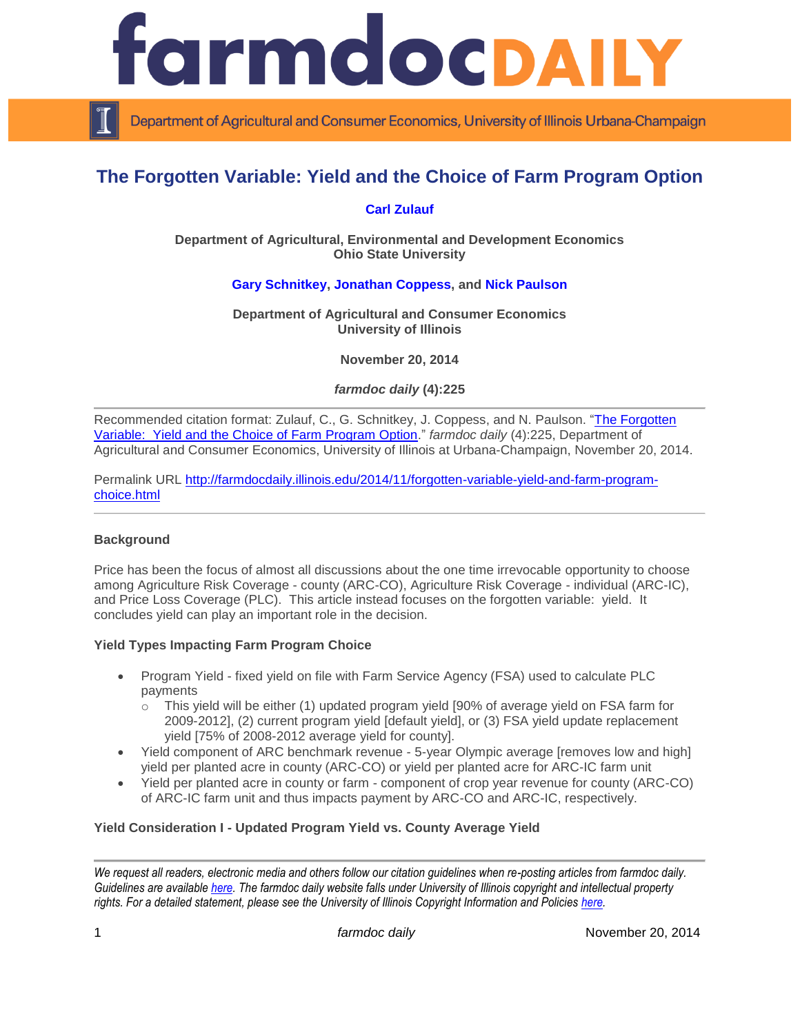

Department of Agricultural and Consumer Economics, University of Illinois Urbana-Champaign

# **The Forgotten Variable: Yield and the Choice of Farm Program Option**

## **[Carl Zulauf](http://aede.osu.edu/our-people/carl-zulauf)**

#### **Department of Agricultural, Environmental and Development Economics Ohio State University**

# **[Gary Schnitkey,](http://farmdoc.illinois.edu/schnitkey) [Jonathan Coppess,](http://farmdoc.illinois.edu/coppess) and [Nick Paulson](http://www.farmdoc.illinois.edu/paulson)**

#### **Department of Agricultural and Consumer Economics University of Illinois**

**November 20, 2014**

*farmdoc daily* **(4):225**

Recommended citation format: Zulauf, C., G. Schnitkey, J. Coppess, and N. Paulson. ["The Forgotten](http://farmdocdaily.illinois.edu/2014/11/forgotten-variable-yield-and-farm-program-choice.html)  [Variable: Yield and the Choice of Farm Program Option.](http://farmdocdaily.illinois.edu/2014/11/forgotten-variable-yield-and-farm-program-choice.html)" *farmdoc daily* (4):225, Department of Agricultural and Consumer Economics, University of Illinois at Urbana-Champaign, November 20, 2014.

Permalink URL [http://farmdocdaily.illinois.edu/2014/11/forgotten-variable-yield-and-farm-program](http://farmdocdaily.illinois.edu/2014/11/forgotten-variable-yield-and-farm-program-choice.html)[choice.html](http://farmdocdaily.illinois.edu/2014/11/forgotten-variable-yield-and-farm-program-choice.html)

### **Background**

Price has been the focus of almost all discussions about the one time irrevocable opportunity to choose among Agriculture Risk Coverage - county (ARC-CO), Agriculture Risk Coverage - individual (ARC-IC), and Price Loss Coverage (PLC). This article instead focuses on the forgotten variable: yield. It concludes yield can play an important role in the decision.

### **Yield Types Impacting Farm Program Choice**

- Program Yield fixed yield on file with Farm Service Agency (FSA) used to calculate PLC payments
	- $\circ$  This yield will be either (1) updated program yield [90% of average yield on FSA farm for 2009-2012], (2) current program yield [default yield], or (3) FSA yield update replacement yield [75% of 2008-2012 average yield for county].
- Yield component of ARC benchmark revenue 5-year Olympic average [removes low and high] yield per planted acre in county (ARC-CO) or yield per planted acre for ARC-IC farm unit
- Yield per planted acre in county or farm component of crop year revenue for county (ARC-CO) of ARC-IC farm unit and thus impacts payment by ARC-CO and ARC-IC, respectively.

### **Yield Consideration I - Updated Program Yield vs. County Average Yield**

*We request all readers, electronic media and others follow our citation guidelines when re-posting articles from farmdoc daily. Guidelines are available [here.](http://farmdocdaily.illinois.edu/citationguide.html) The farmdoc daily website falls under University of Illinois copyright and intellectual property rights. For a detailed statement, please see the University of Illinois Copyright Information and Policies [here.](http://www.cio.illinois.edu/policies/copyright/)*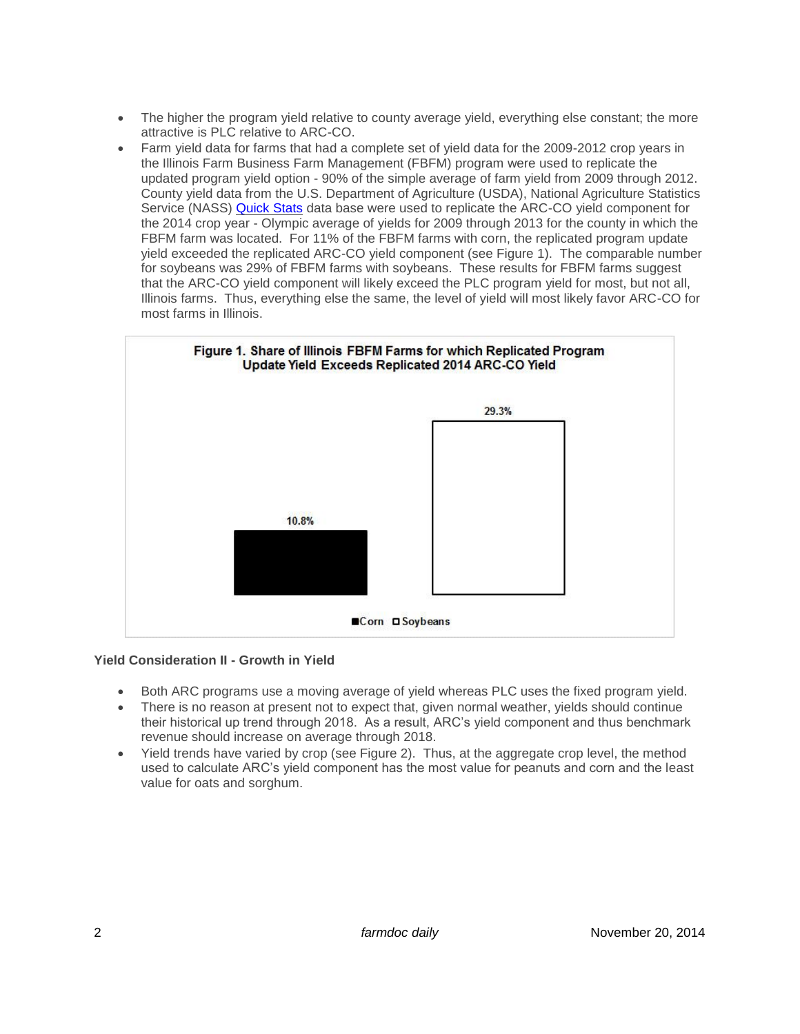- The higher the program yield relative to county average yield, everything else constant; the more attractive is PLC relative to ARC-CO.
- Farm yield data for farms that had a complete set of yield data for the 2009-2012 crop years in the Illinois Farm Business Farm Management (FBFM) program were used to replicate the updated program yield option - 90% of the simple average of farm yield from 2009 through 2012. County yield data from the U.S. Department of Agriculture (USDA), National Agriculture Statistics Service (NASS) [Quick Stats](http://www.nass.usda.gov/Quick_Stats/) data base were used to replicate the ARC-CO yield component for the 2014 crop year - Olympic average of yields for 2009 through 2013 for the county in which the FBFM farm was located. For 11% of the FBFM farms with corn, the replicated program update yield exceeded the replicated ARC-CO yield component (see Figure 1). The comparable number for soybeans was 29% of FBFM farms with soybeans. These results for FBFM farms suggest that the ARC-CO yield component will likely exceed the PLC program yield for most, but not all, Illinois farms. Thus, everything else the same, the level of yield will most likely favor ARC-CO for most farms in Illinois.



### **Yield Consideration II - Growth in Yield**

- Both ARC programs use a moving average of yield whereas PLC uses the fixed program yield.
- There is no reason at present not to expect that, given normal weather, yields should continue their historical up trend through 2018. As a result, ARC's yield component and thus benchmark revenue should increase on average through 2018.
- Yield trends have varied by crop (see Figure 2). Thus, at the aggregate crop level, the method used to calculate ARC's yield component has the most value for peanuts and corn and the least value for oats and sorghum.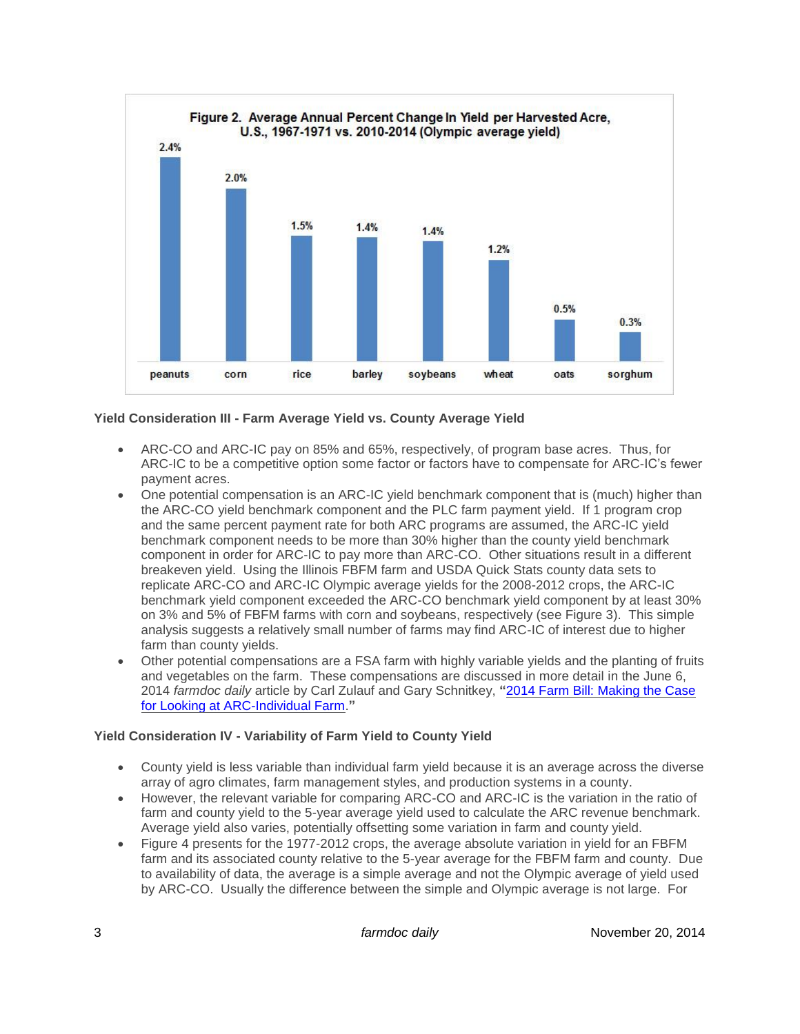

# **Yield Consideration III - Farm Average Yield vs. County Average Yield**

- ARC-CO and ARC-IC pay on 85% and 65%, respectively, of program base acres. Thus, for ARC-IC to be a competitive option some factor or factors have to compensate for ARC-IC's fewer payment acres.
- One potential compensation is an ARC-IC yield benchmark component that is (much) higher than the ARC-CO yield benchmark component and the PLC farm payment yield. If 1 program crop and the same percent payment rate for both ARC programs are assumed, the ARC-IC yield benchmark component needs to be more than 30% higher than the county yield benchmark component in order for ARC-IC to pay more than ARC-CO. Other situations result in a different breakeven yield. Using the Illinois FBFM farm and USDA Quick Stats county data sets to replicate ARC-CO and ARC-IC Olympic average yields for the 2008-2012 crops, the ARC-IC benchmark yield component exceeded the ARC-CO benchmark yield component by at least 30% on 3% and 5% of FBFM farms with corn and soybeans, respectively (see Figure 3). This simple analysis suggests a relatively small number of farms may find ARC-IC of interest due to higher farm than county yields.
- Other potential compensations are a FSA farm with highly variable yields and the planting of fruits and vegetables on the farm. These compensations are discussed in more detail in the June 6, 2014 *farmdoc daily* article by Carl Zulauf and Gary Schnitkey, **"**[2014 Farm Bill: Making the Case](http://farmdocdaily.illinois.edu/2014/06/2014-farm-bill-making-case-for-arc-individual-farm.html)  [for Looking at ARC-Individual Farm.](http://farmdocdaily.illinois.edu/2014/06/2014-farm-bill-making-case-for-arc-individual-farm.html)**"**

### **Yield Consideration IV - Variability of Farm Yield to County Yield**

- County yield is less variable than individual farm yield because it is an average across the diverse array of agro climates, farm management styles, and production systems in a county.
- However, the relevant variable for comparing ARC-CO and ARC-IC is the variation in the ratio of farm and county yield to the 5-year average yield used to calculate the ARC revenue benchmark. Average yield also varies, potentially offsetting some variation in farm and county yield.
- Figure 4 presents for the 1977-2012 crops, the average absolute variation in yield for an FBFM farm and its associated county relative to the 5-year average for the FBFM farm and county. Due to availability of data, the average is a simple average and not the Olympic average of yield used by ARC-CO. Usually the difference between the simple and Olympic average is not large. For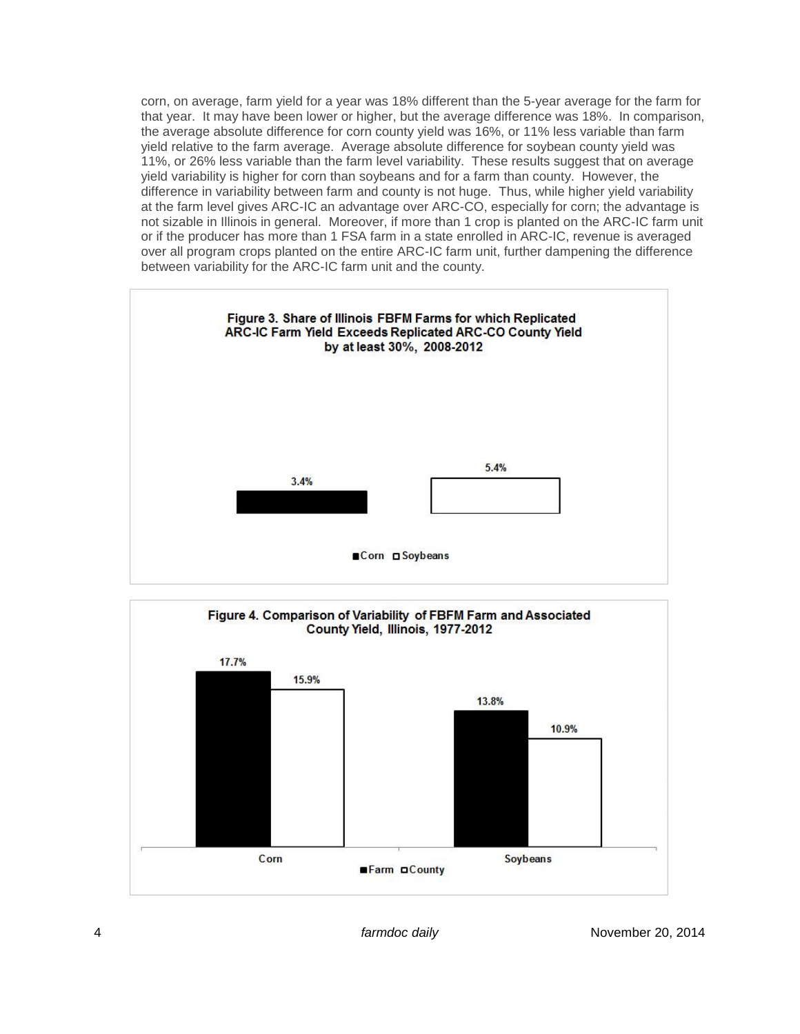corn, on average, farm yield for a year was 18% different than the 5-year average for the farm for that year. It may have been lower or higher, but the average difference was 18%. In comparison, the average absolute difference for corn county yield was 16%, or 11% less variable than farm yield relative to the farm average. Average absolute difference for soybean county yield was 11%, or 26% less variable than the farm level variability. These results suggest that on average yield variability is higher for corn than soybeans and for a farm than county. However, the difference in variability between farm and county is not huge. Thus, while higher yield variability at the farm level gives ARC-IC an advantage over ARC-CO, especially for corn; the advantage is not sizable in Illinois in general. Moreover, if more than 1 crop is planted on the ARC-IC farm unit or if the producer has more than 1 FSA farm in a state enrolled in ARC-IC, revenue is averaged over all program crops planted on the entire ARC-IC farm unit, further dampening the difference between variability for the ARC-IC farm unit and the county.